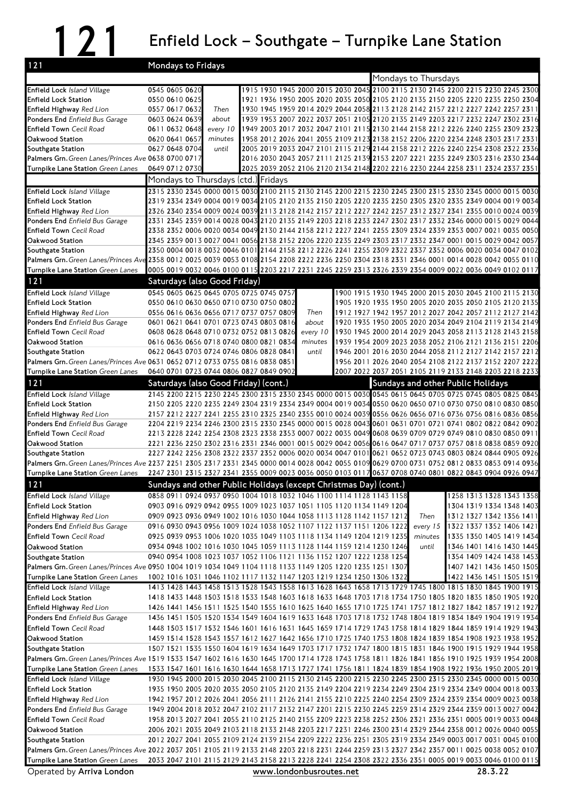## 121 Enfield Lock – Southgate – Turnpike Lane Station

| 121                                                                                                                                                                | Mondays to Fridays                                                                                                                                                                                                   |  |          |  |                      |                                   |                                                                                 |
|--------------------------------------------------------------------------------------------------------------------------------------------------------------------|----------------------------------------------------------------------------------------------------------------------------------------------------------------------------------------------------------------------|--|----------|--|----------------------|-----------------------------------|---------------------------------------------------------------------------------|
|                                                                                                                                                                    |                                                                                                                                                                                                                      |  |          |  | Mondays to Thursdays |                                   |                                                                                 |
| Enfield Lock Island Village                                                                                                                                        | 0545 0605 0620                                                                                                                                                                                                       |  |          |  |                      |                                   | 1915 1930 1945 2000 2015 2030 2045 2100 2115 2130 2145 2200 2215 2230 2245 2300 |
| <b>Enfield Lock Station</b>                                                                                                                                        | 0550 0610 0625                                                                                                                                                                                                       |  |          |  |                      |                                   | 1921 1936 1950 2005 2020 2035 2050 2105 2120 2135 2150 2205 2220 2235 2250 2304 |
| Enfield Highway Red Lion                                                                                                                                           | 0557 0617 0632<br>Then                                                                                                                                                                                               |  |          |  |                      |                                   | 1930 1945 1959 2014 2029 2044 2058 2113 2128 2142 2157 2212 2227 2242 2257 2311 |
| Ponders End Enfield Bus Garage                                                                                                                                     | 0603 0624 0639<br>about                                                                                                                                                                                              |  |          |  |                      |                                   | 1939 1953 2007 2022 2037 2051 2105 2120 2135 2149 2203 2217 2232 2247 2302 2316 |
| <b>Enfield Town Cecil Road</b>                                                                                                                                     | 0611 0632 0648<br>every 10                                                                                                                                                                                           |  |          |  |                      |                                   | 1949 2003 2017 2032 2047 2101 2115 2130 2144 2158 2212 2226 2240 2255 2309 2323 |
| Oakwood Station                                                                                                                                                    | 0620 0641 0657<br>minutes                                                                                                                                                                                            |  |          |  |                      |                                   | 1958 2012 2026 2041 2055 2109 2123 2138 2152 2206 2220 2234 2248 2303 2317 2331 |
| Southgate Station                                                                                                                                                  | 0627 0648 0704<br>until                                                                                                                                                                                              |  |          |  |                      |                                   | 2005 2019 2033 2047 2101 2115 2129 2144 2158 2212 2226 2240 2254 2308 2322 2336 |
| Palmers Grn. Green Lanes/Princes Ave 0638 0700 0717                                                                                                                |                                                                                                                                                                                                                      |  |          |  |                      |                                   | 2016 2030 2043 2057 2111 2125 2139 2153 2207 2221 2235 2249 2303 2316 2330 2344 |
| Turnpike Lane Station Green Lanes                                                                                                                                  | 0649 0712 0730                                                                                                                                                                                                       |  |          |  |                      |                                   | 2025 2039 2052 2106 2120 2134 2148 2202 2216 2230 2244 2258 2311 2324 2337 2351 |
|                                                                                                                                                                    | Mondays to Thursdays (ctd.) Fridays                                                                                                                                                                                  |  |          |  |                      |                                   |                                                                                 |
| Enfield Lock Island Village                                                                                                                                        | 2315 2330 2345 0000 0015 0030 2100 2115 2130 2145 2200 2215 2230 2245 2300 2315 2330 2345 0000 0015 0030                                                                                                             |  |          |  |                      |                                   |                                                                                 |
| <b>Enfield Lock Station</b>                                                                                                                                        | 2319 2334 2349 0004 0019 0034 2105 2120 2135 2150 2205 2220 2235 2250 2305 2320 2335 2349 0004 0019 0034                                                                                                             |  |          |  |                      |                                   |                                                                                 |
| Enfield Highway Red Lion                                                                                                                                           | 2326 2340 2354 0009 0024 0039 2113 2128 2142 2157 2212 2227 2242 2257 2312 2327 2341 2355 0010 0024 0039                                                                                                             |  |          |  |                      |                                   |                                                                                 |
| Ponders End Enfield Bus Garage<br><b>Enfield Town</b> Cecil Road                                                                                                   | 2331 2345 2359 0014 0028 0043 2120 2135 2149 2203 2218 2233 2247 2302 2317 2332 2346 0000 0015 0029 0044<br>2338 2352 0006 0020 0034 0049 2130 2144 2158 2212 2227 2241 2255 2309 2324 2339 2353 0007 0021 0035 0050 |  |          |  |                      |                                   |                                                                                 |
| Oakwood Station                                                                                                                                                    | 2345 2359 0013 0027 0041 0056 2138 2152 2206 2220 2235 2249 2303 2317 2332 2347 0001 0015 0029 0042 0057                                                                                                             |  |          |  |                      |                                   |                                                                                 |
| Southgate Station                                                                                                                                                  | 2350 0004 0018 0032 0046 0101 2144 2158 2212 2226 2241 2255 2309 2322 2337 2352 0006 0020 0034 0047 0102                                                                                                             |  |          |  |                      |                                   |                                                                                 |
| Palmers Grn. Green Lanes/Princes Ave 2358 0012 0025 0039 0053 0108 2154 2208 2222 2236 2250 2304 2318 2331 2346 0001 0014 0028 0042 0055 0110                      |                                                                                                                                                                                                                      |  |          |  |                      |                                   |                                                                                 |
| Turnpike Lane Station Green Lanes                                                                                                                                  | 0005 0019 0032 0046 0100 0115 2203 2217 2231 2245 2259 2313 2326 2339 2354 0009 0022 0036 0049 0102 0117                                                                                                             |  |          |  |                      |                                   |                                                                                 |
| 121                                                                                                                                                                | Saturdays (also Good Friday)                                                                                                                                                                                         |  |          |  |                      |                                   |                                                                                 |
| Enfield Lock Island Village                                                                                                                                        | 0545 0605 0625 0645 0705 0725 0745 0757                                                                                                                                                                              |  |          |  |                      |                                   | 1900 1915 1930 1945 2000 2015 2030 2045 2100 2115 2130                          |
| <b>Enfield Lock Station</b>                                                                                                                                        | 0550 0610 0630 0650 0710 0730 0750 0802                                                                                                                                                                              |  |          |  |                      |                                   | 1905 1920 1935 1950 2005 2020 2035 2050 2105 2120 2135                          |
| Enfield Highway Red Lion                                                                                                                                           | 0556 0616 0636 0656 0717 0737 0757 0809                                                                                                                                                                              |  | Then     |  |                      |                                   | 1912 1927 1942 1957 2012 2027 2042 2057 2112 2127 2142                          |
| Ponders End Enfield Bus Garage                                                                                                                                     | 0601 0621 0641 0701 0723 0743 0803 0816                                                                                                                                                                              |  | about    |  |                      |                                   | 1920 1935 1950 2005 2020 2034 2049 2104 2119 2134 2149                          |
| <b>Enfield Town</b> Cecil Road                                                                                                                                     | 0608 0628 0648 0710 0732 0752 0813 0826                                                                                                                                                                              |  | every 10 |  |                      |                                   | 1930 1945 2000 2014 2029 2043 2058 2113 2128 2143 2158                          |
| Oakwood Station                                                                                                                                                    | 0616 0636 0656 0718 0740 0800 0821 0834                                                                                                                                                                              |  | minutes  |  |                      |                                   | 1939 1954 2009 2023 2038 2052 2106 2121 2136 2151 2206                          |
| Southgate Station                                                                                                                                                  | 0622 0643 0703 0724 0746 0806 0828 0841                                                                                                                                                                              |  | until    |  |                      |                                   | 1946 2001 2016 2030 2044 2058 2112 2127 2142 2157 2212                          |
| Palmers Grn. Green Lanes/Princes Ave 0631 0652 0712 0733 0755 0816 0838 0851                                                                                       |                                                                                                                                                                                                                      |  |          |  |                      |                                   | 1956 2011 2026 2040 2054 2108 2122 2137 2152 2207 2222                          |
| Turnpike Lane Station Green Lanes                                                                                                                                  | 0640 0701 0723 0744 0806 0827 0849 0902                                                                                                                                                                              |  |          |  |                      |                                   | 2007 2022 2037 2051 2105 2119 2133 2148 2203 2218 2233                          |
| 121                                                                                                                                                                | Saturdays (also Good Friday) (cont.)                                                                                                                                                                                 |  |          |  |                      | Sundays and other Public Holidays |                                                                                 |
| Enfield Lock Island Village                                                                                                                                        | 2145 2200 2215 2230 2245 2300 2315 2330 2345 0000 0015 0030 0545 0615 0645 0705 0725 0745 0805 0825 0845                                                                                                             |  |          |  |                      |                                   |                                                                                 |
| <b>Enfield Lock Station</b>                                                                                                                                        | 2150 2205 2220 2235 2249 2304 2319 2334 2349 0004 0019 0034 0550 0620 0650 0710 0730 0750 0810 0830 0850                                                                                                             |  |          |  |                      |                                   |                                                                                 |
| Enfield Highway Red Lion                                                                                                                                           | 2157 2212 2227 2241 2255 2310 2325 2340 2355 0010 0024 0039 0556 0626 0656 0716 0736 0756 0816 0836 0856                                                                                                             |  |          |  |                      |                                   |                                                                                 |
| Ponders End Enfield Bus Garage                                                                                                                                     | 2204 2219 2234 2246 2300 2315 2330 2345 0000 0015 0028 0043 0601 0631 0701 0721 0741 0802 0822 0842 0902                                                                                                             |  |          |  |                      |                                   |                                                                                 |
| <b>Enfield Town</b> Cecil Road                                                                                                                                     | 2213 2228 2242 2254 2308 2323 2338 2353 0007 0022 0035 0049 0608 0639 0709 0729 0749 0810 0830 0850 0911                                                                                                             |  |          |  |                      |                                   |                                                                                 |
| Oakwood Station                                                                                                                                                    | 2221 2236 2250 2302 2316 2331 2346 0001 0015 0029 0042 0056 0616 0647 0717 0737 0757 0818 0838 0859 0920<br>2227 2242 2256 2308 2322 2337 2352 0006 0020 0034 0047 01010621 0652 0723 0743 0803 0824 0844 0905 0926  |  |          |  |                      |                                   |                                                                                 |
| Southgate Station<br>Palmers Grn. Green Lanes/Princes Ave 2237 2251 2305 2317 2331 2345 0000 0014 0028 0042 0055 0109 0629 0700 0731 0752 0812 0833 0853 0914 0936 |                                                                                                                                                                                                                      |  |          |  |                      |                                   |                                                                                 |
| Turnpike Lane Station Green Lanes                                                                                                                                  | 2247 2301 2315 2327 2341 2355 0009 0023 0036 0050 0103 0117 0637 0708 0740 0801 0822 0843 0904 0926 0947                                                                                                             |  |          |  |                      |                                   |                                                                                 |
| 121                                                                                                                                                                | Sundays and other Public Holidays (except Christmas Day) (cont.)                                                                                                                                                     |  |          |  |                      |                                   |                                                                                 |
| Enfield Lock Island Village                                                                                                                                        | 0858 0911 0924 0937 0950 1004 1018 1032 1046 1100 1114 1128 1143 1158                                                                                                                                                |  |          |  |                      |                                   | 1258 1313 1328 1343 1358                                                        |
| <b>Enfield Lock Station</b>                                                                                                                                        | 0903 0916 0929 0942 0955 1009 1023 1037 1051 1105 1120 1134 1149 1204                                                                                                                                                |  |          |  |                      |                                   | 1304 1319 1334 1348 1403                                                        |
| <b>Enfield Highway</b> Red Lion                                                                                                                                    | 0909 0923 0936 0949 1002 1016 1030 1044 1058 1113 1128 1142 1157 1212                                                                                                                                                |  |          |  | Then                 |                                   | 1312 1327 1342 1356 1411                                                        |
| <b>Ponders End Enfield Bus Garage</b>                                                                                                                              | 0916 0930 0943 0956 1009 1024 1038 1052 1107 1122 1137 1151 1206 1222                                                                                                                                                |  |          |  | every 15             |                                   | 1322 1337 1352 1406 1421                                                        |
| <b>Enfield Town Cecil Road</b>                                                                                                                                     | 0925 0939 0953 1006 1020 1035 1049 1103 1118 1134 1149 1204 1219 1235                                                                                                                                                |  |          |  | minutes              |                                   | 1335 1350 1405 1419 1434                                                        |
| Oakwood Station                                                                                                                                                    | 0934 0948 1002 1016 1030 1045 1059 1113 1128 1144 1159 1214 1230 1246                                                                                                                                                |  |          |  | until                |                                   | 1346 1401 1416 1430 1445                                                        |
| Southgate Station                                                                                                                                                  | 0940 0954 1008 1023 1037 1052 1106 1121 1136 1152 1207 1222 1238 1254                                                                                                                                                |  |          |  |                      |                                   | 1354 1409 1424 1438 1453                                                        |
| Palmers Grn. Green Lanes/Princes Ave 0950 1004 1019 1034 1049 1104 1118 1133 1149 1205 1220 1235 1251 1307                                                         |                                                                                                                                                                                                                      |  |          |  |                      |                                   | 1407 1421 1436 1450 1505                                                        |
| Turnpike Lane Station Green Lanes                                                                                                                                  | 1002 1016 1031 1046 1102 1117 1132 1147 1203 1219 1234 1250 1306 1322                                                                                                                                                |  |          |  |                      |                                   | 1422 1436 1451 1505 1519                                                        |
| Enfield Lock Island Village                                                                                                                                        | 1413 1428 1443 1458 1513 1528 1543 1558 1613 1628 1643 1658 1713 1729 1745 1800 1815 1830 1845 1900 1915                                                                                                             |  |          |  |                      |                                   |                                                                                 |
| <b>Enfield Lock Station</b>                                                                                                                                        | 1418 1433 1448 1503 1518 1533 1548 1603 1618 1633 1648 1703 1718 1734 1750 1805 1820 1835 1850 1905 1920                                                                                                             |  |          |  |                      |                                   |                                                                                 |
| Enfield Highway Red Lion                                                                                                                                           | 1426 1441 1456 1511 1525 1540 1555 1610 1625 1640 1655 1710 1725 1741 1757 1812 1827 1842 1857 1912 1927                                                                                                             |  |          |  |                      |                                   |                                                                                 |
| Ponders End Enfield Bus Garage                                                                                                                                     | 1436 1451 1505 1520 1534 1549 1604 1619 1633 1648 1703 1718 1732 1748 1804 1819 1834 1849 1904 1919 1934                                                                                                             |  |          |  |                      |                                   |                                                                                 |
| <b>Enfield Town</b> Cecil Road                                                                                                                                     | 1448 1503 1517 1532 1546 1601 1616 1631 1645 1659 1714 1729 1743 1758 1814 1829 1844 1859 1914 1929 1943                                                                                                             |  |          |  |                      |                                   |                                                                                 |
| Oakwood Station                                                                                                                                                    | 1459 1514 1528 1543 1557 1612 1627 1642 1656 1710 1725 1740 1753 1808 1824 1839 1854 1908 1923 1938 1952                                                                                                             |  |          |  |                      |                                   |                                                                                 |
| Southgate Station                                                                                                                                                  | 1507 1521 1535 1550 1604 1619 1634 1649 1703 1717 1732 1747 1800 1815 1831 1846 1900 1915 1929 1944 1958                                                                                                             |  |          |  |                      |                                   |                                                                                 |
| Palmers Grn. Green Lanes/Princes Ave 1519 1533 1547 1602 1616 1630 1645 1700 1714 1728 1743 1758 1811 1826 1841 1856 1910 1925 1939 1954 2008                      |                                                                                                                                                                                                                      |  |          |  |                      |                                   |                                                                                 |
| Turnpike Lane Station <i>Green Lanes</i>                                                                                                                           | 1533 1547 1601 1616 1630 1644 1658 1713 1727 1741 1756 1811 1824 1839 1854 1908 1922 1936 1950 2005 2019                                                                                                             |  |          |  |                      |                                   |                                                                                 |
| Enfield Lock Island Village                                                                                                                                        | 1930 1945 2000 2015 2030 2045 2100 2115 2130 2145 2200 2215 2230 2245 2300 2315 2330 2345 0000 0015 0030                                                                                                             |  |          |  |                      |                                   |                                                                                 |
| <b>Enfield Lock Station</b>                                                                                                                                        | 1935 1950 2005 2020 2035 2050 2105 2120 2135 2149 2204 2219 2234 2249 2304 2319 2334 2349 0004 0018 0033                                                                                                             |  |          |  |                      |                                   |                                                                                 |
| Enfield Highway Red Lion                                                                                                                                           | 1942 1957 2012 2026 2041 2056 2111 2126 2141 2155 2210 2225 2240 2254 2309 2324 2339 2354 0009 0023 0038                                                                                                             |  |          |  |                      |                                   |                                                                                 |
| Ponders End Enfield Bus Garage                                                                                                                                     | 1949 2004 2018 2032 2047 2102 2117 2132 2147 2201 2215 2230 2245 2259 2314 2329 2344 2359 0013 0027 0042                                                                                                             |  |          |  |                      |                                   |                                                                                 |
| <b>Enfield Town</b> Cecil Road                                                                                                                                     | 1958 2013 2027 2041 2055 2110 2125 2140 2155 2209 2223 2238 2252 2306 2321 2336 2351 0005 0019 0033 0048                                                                                                             |  |          |  |                      |                                   |                                                                                 |
| Oakwood Station                                                                                                                                                    | 2006 2021 2035 2049 2103 2118 2133 2148 2203 2217 2231 2246 2300 2314 2329 2344 2358 0012 0026 0040 0055                                                                                                             |  |          |  |                      |                                   |                                                                                 |
| Southgate Station<br>Palmers Grn. Green Lanes/Princes Ave 2022 2037 2051 2105 2119 2133 2148 2203 2218 2231 2244 2259 2313 2327 2342 2357 0011 0025 0038 0052 0107 | 2012 2027 2041 2055 2109 2124 2139 2154 2209 2222 2236 2251 2305 2319 2334 2349 0003 0017 0031 0045 0100                                                                                                             |  |          |  |                      |                                   |                                                                                 |
| Turnpike Lane Station Green Lanes                                                                                                                                  | 2033 2047 2101 2115 2129 2143 2158 2213 2228 2241 2254 2308 2322 2336 2351 0005 0019 0033 0046 0100 0115                                                                                                             |  |          |  |                      |                                   |                                                                                 |
|                                                                                                                                                                    |                                                                                                                                                                                                                      |  |          |  |                      |                                   |                                                                                 |